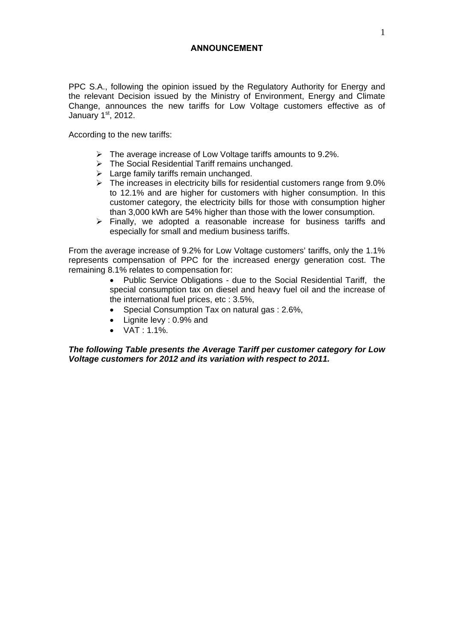## **ANNOUNCEMENT**

PPC S.A., following the opinion issued by the Regulatory Authority for Energy and the relevant Decision issued by the Ministry of Environment, Energy and Climate Change, announces the new tariffs for Low Voltage customers effective as of January  $1<sup>st</sup>$ , 2012.

According to the new tariffs:

- $\triangleright$  The average increase of Low Voltage tariffs amounts to 9.2%.
- $\triangleright$  The Social Residential Tariff remains unchanged.
- $\triangleright$  Large family tariffs remain unchanged.
- $\triangleright$  The increases in electricity bills for residential customers range from 9.0% to 12.1% and are higher for customers with higher consumption. In this customer category, the electricity bills for those with consumption higher than 3,000 kWh are 54% higher than those with the lower consumption.
- $\triangleright$  Finally, we adopted a reasonable increase for business tariffs and especially for small and medium business tariffs.

From the average increase of 9.2% for Low Voltage customers' tariffs, only the 1.1% represents compensation of PPC for the increased energy generation cost. The remaining 8.1% relates to compensation for:

> Public Service Obligations - due to the Social Residential Tariff, the special consumption tax on diesel and heavy fuel oil and the increase of the international fuel prices, etc : 3.5%,

- Special Consumption Tax on natural gas : 2.6%,
- Lignite levy : 0.9% and
- $\bullet$  VAT : 1.1%.

*The following Table presents the Average Tariff per customer category for Low Voltage customers for 2012 and its variation with respect to 2011.*